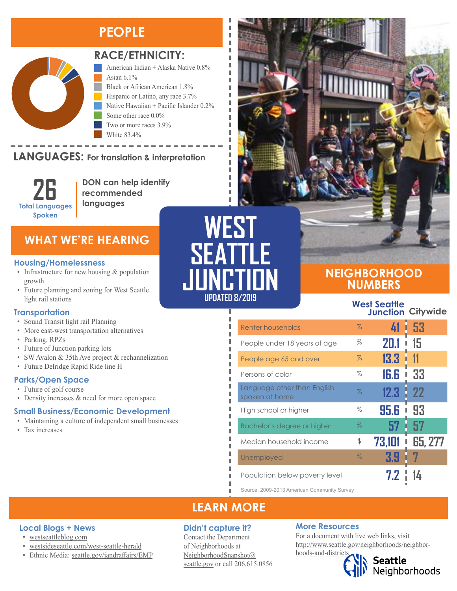### **PEOPLE**



#### **RACE/ETHNICITY:**

American Indian + Alaska Native 0.8% Asian  $6.1\%$ Black or African American 1.8% Hispanic or Latino, any race 3.7% Native Hawaiian + Pacific Islander 0.2% Some other race 0.0% Two or more races 3.9% White 83.4%

#### **LANGUAGES:** For translation & interpretation **ENITUON**



Black or African American Hispanic or Latino, any race

**DON can help identify recommended languages**

### **WHAT WE'RE HEARING**

#### **Housing/Homelessness**

- Infrastructure for new housing & population growth
- Future planning and zoning for West Seattle light rail stations

#### **Transportation**

- Sound Transit light rail Planning
- More east-west transportation alternatives
- Parking, RPZs
- Future of Junction parking lots
- SW Avalon & 35th Ave project & rechannelization
- Future Delridge Rapid Ride line H

#### **Parks/Open Space**

- Future of golf course
- Density increases & need for more open space

#### **Small Business/Economic Development**

- Maintaining a culture of independent small businesses
- Tax increases

# **WEST SEATTLE JUNCTION UPDATED 8/2019**

I л л

### **NEIGHBORHOOD NUMBERS**

**West Seattle Junction Citywide**

| Renter households                             | $\%$ | 41     | -53<br>I.      |
|-----------------------------------------------|------|--------|----------------|
| People under 18 years of age                  | %    | 20.1   | 15             |
| People age 65 and over                        | $\%$ | 13.3   | -11            |
| Persons of color                              | %    | 16.6   | 33             |
| Language other than English<br>spoken at home | %    | 12.3   | 22             |
| High school or higher                         | %    | 95. G  | 93             |
| Bachelor's degree or higher                   | $\%$ | 57     | 57             |
| Median household income                       | \$   | 73.101 | <b>65, 277</b> |
| Unemployed                                    | $\%$ | 3.9    |                |
| Population below poverty level                |      | 7.2    |                |

Source: 2009-2013 American Community Survey

### **LEARN MORE**

#### **Didn't capture it?**

Contact the Department of Neighborhoods at [NeighborhoodSnapshot@](mailto:NeighborhoodSnapshot%40%0Aseattle.gov?subject=) [seattle.gov](mailto:NeighborhoodSnapshot%40%0Aseattle.gov?subject=) or call 206.615.0856

#### **More Resources**

For a document with live web links, visit [http://www.seattle.gov/neighborhoods/neighbor](http://www.seattle.gov/neighborhoods/neighborhoods-and-districts)[hoods-and-districts](http://www.seattle.gov/neighborhoods/neighborhoods-and-districts)

Seattle<br>Neighborhoods



- [westseattleblog.com](http://westseattleblog.com/)
- [westsideseattle.com](https://www.westsideseattle.com/west-seattle-herald)/west-seattle-herald
- Ethnic Media: [seattle.gov/iandraffairs/EM](http://www.seattle.gov/iandraffairs/EMP)P